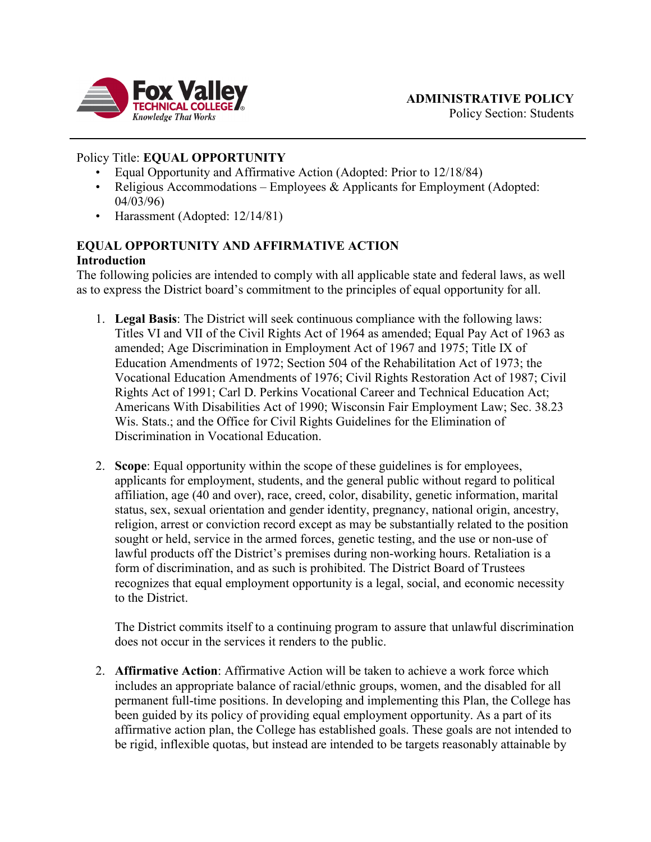

## Policy Title: **EQUAL OPPORTUNITY**

- Equal Opportunity and Affirmative Action (Adopted: Prior to 12/18/84)
- Religious Accommodations Employees  $&$  Applicants for Employment (Adopted: 04/03/96)
- Harassment (Adopted: 12/14/81)

# **EQUAL OPPORTUNITY AND AFFIRMATIVE ACTION**

### **Introduction**

The following policies are intended to comply with all applicable state and federal laws, as well as to express the District board's commitment to the principles of equal opportunity for all.

- 1. **Legal Basis**: The District will seek continuous compliance with the following laws: Titles VI and VII of the Civil Rights Act of 1964 as amended; Equal Pay Act of 1963 as amended; Age Discrimination in Employment Act of 1967 and 1975; Title IX of Education Amendments of 1972; Section 504 of the Rehabilitation Act of 1973; the Vocational Education Amendments of 1976; Civil Rights Restoration Act of 1987; Civil Rights Act of 1991; Carl D. Perkins Vocational Career and Technical Education Act; Americans With Disabilities Act of 1990; Wisconsin Fair Employment Law; Sec. 38.23 Wis. Stats.; and the Office for Civil Rights Guidelines for the Elimination of Discrimination in Vocational Education.
- 2. **Scope**: Equal opportunity within the scope of these guidelines is for employees, applicants for employment, students, and the general public without regard to political affiliation, age (40 and over), race, creed, color, disability, genetic information, marital status, sex, sexual orientation and gender identity, pregnancy, national origin, ancestry, religion, arrest or conviction record except as may be substantially related to the position sought or held, service in the armed forces, genetic testing, and the use or non-use of lawful products off the District's premises during non-working hours. Retaliation is a form of discrimination, and as such is prohibited. The District Board of Trustees recognizes that equal employment opportunity is a legal, social, and economic necessity to the District.

The District commits itself to a continuing program to assure that unlawful discrimination does not occur in the services it renders to the public.

2. **Affirmative Action**: Affirmative Action will be taken to achieve a work force which includes an appropriate balance of racial/ethnic groups, women, and the disabled for all permanent full-time positions. In developing and implementing this Plan, the College has been guided by its policy of providing equal employment opportunity. As a part of its affirmative action plan, the College has established goals. These goals are not intended to be rigid, inflexible quotas, but instead are intended to be targets reasonably attainable by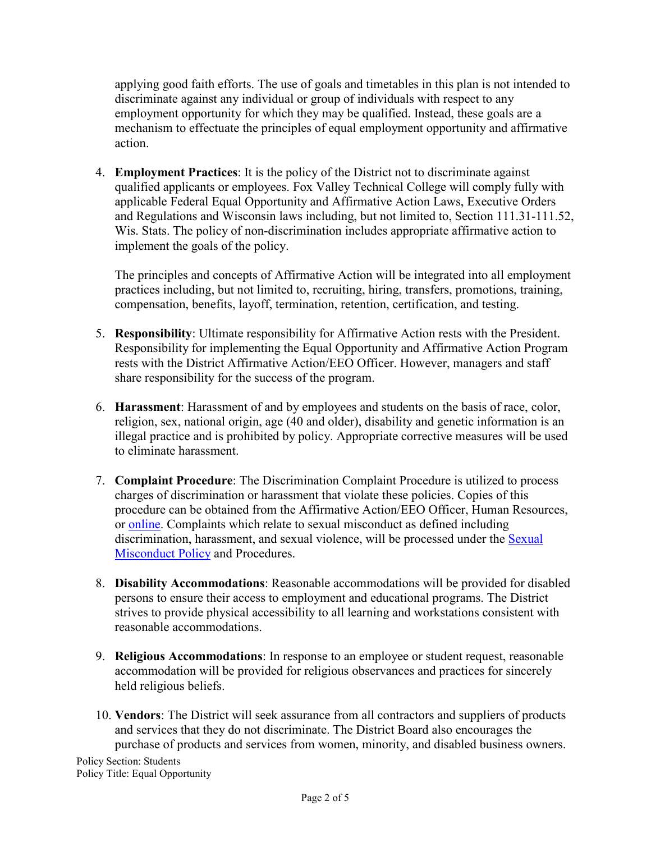applying good faith efforts. The use of goals and timetables in this plan is not intended to discriminate against any individual or group of individuals with respect to any employment opportunity for which they may be qualified. Instead, these goals are a mechanism to effectuate the principles of equal employment opportunity and affirmative action.

4. **Employment Practices**: It is the policy of the District not to discriminate against qualified applicants or employees. Fox Valley Technical College will comply fully with applicable Federal Equal Opportunity and Affirmative Action Laws, Executive Orders and Regulations and Wisconsin laws including, but not limited to, Section 111.31-111.52, Wis. Stats. The policy of non-discrimination includes appropriate affirmative action to implement the goals of the policy.

The principles and concepts of Affirmative Action will be integrated into all employment practices including, but not limited to, recruiting, hiring, transfers, promotions, training, compensation, benefits, layoff, termination, retention, certification, and testing.

- 5. **Responsibility**: Ultimate responsibility for Affirmative Action rests with the President. Responsibility for implementing the Equal Opportunity and Affirmative Action Program rests with the District Affirmative Action/EEO Officer. However, managers and staff share responsibility for the success of the program.
- 6. **Harassment**: Harassment of and by employees and students on the basis of race, color, religion, sex, national origin, age (40 and older), disability and genetic information is an illegal practice and is prohibited by policy. Appropriate corrective measures will be used to eliminate harassment.
- 7. **Complaint Procedure**: The Discrimination Complaint Procedure is utilized to process charges of discrimination or harassment that violate these policies. Copies of this procedure can be obtained from the Affirmative Action/EEO Officer, Human Resources, or [online.](https://www.fvtc.edu/about-us/fvtc-policies/affirmative-action-eeo) Complaints which relate to sexual misconduct as defined including discrimination, harassment, and sexual violence, will be processed under the [Sexual](https://www.fvtc.edu/about-us/policies/sexual-misconduct-policy)  [Misconduct Policy](https://www.fvtc.edu/about-us/policies/sexual-misconduct-policy) and Procedures.
- 8. **Disability Accommodations**: Reasonable accommodations will be provided for disabled persons to ensure their access to employment and educational programs. The District strives to provide physical accessibility to all learning and workstations consistent with reasonable accommodations.
- 9. **Religious Accommodations**: In response to an employee or student request, reasonable accommodation will be provided for religious observances and practices for sincerely held religious beliefs.
- 10. **Vendors**: The District will seek assurance from all contractors and suppliers of products and services that they do not discriminate. The District Board also encourages the purchase of products and services from women, minority, and disabled business owners.

Policy Section: Students Policy Title: Equal Opportunity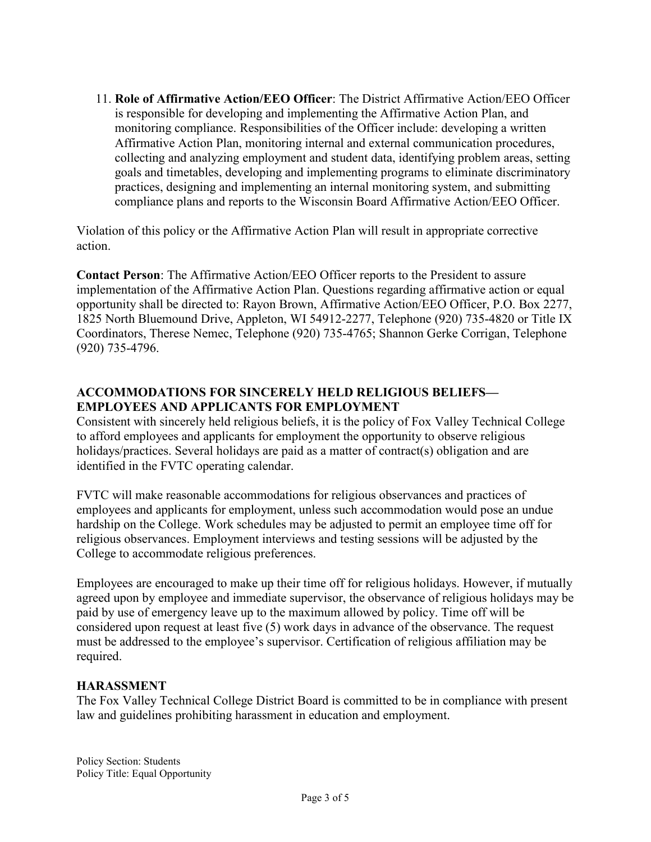11. **Role of Affirmative Action/EEO Officer**: The District Affirmative Action/EEO Officer is responsible for developing and implementing the Affirmative Action Plan, and monitoring compliance. Responsibilities of the Officer include: developing a written Affirmative Action Plan, monitoring internal and external communication procedures, collecting and analyzing employment and student data, identifying problem areas, setting goals and timetables, developing and implementing programs to eliminate discriminatory practices, designing and implementing an internal monitoring system, and submitting compliance plans and reports to the Wisconsin Board Affirmative Action/EEO Officer.

Violation of this policy or the Affirmative Action Plan will result in appropriate corrective action.

**Contact Person**: The Affirmative Action/EEO Officer reports to the President to assure implementation of the Affirmative Action Plan. Questions regarding affirmative action or equal opportunity shall be directed to: Rayon Brown, Affirmative Action/EEO Officer, P.O. Box 2277, 1825 North Bluemound Drive, Appleton, WI 54912-2277, Telephone (920) 735-4820 or Title IX Coordinators, Therese Nemec, Telephone (920) 735-4765; Shannon Gerke Corrigan, Telephone (920) 735-4796.

# **ACCOMMODATIONS FOR SINCERELY HELD RELIGIOUS BELIEFS— EMPLOYEES AND APPLICANTS FOR EMPLOYMENT**

Consistent with sincerely held religious beliefs, it is the policy of Fox Valley Technical College to afford employees and applicants for employment the opportunity to observe religious holidays/practices. Several holidays are paid as a matter of contract(s) obligation and are identified in the FVTC operating calendar.

FVTC will make reasonable accommodations for religious observances and practices of employees and applicants for employment, unless such accommodation would pose an undue hardship on the College. Work schedules may be adjusted to permit an employee time off for religious observances. Employment interviews and testing sessions will be adjusted by the College to accommodate religious preferences.

Employees are encouraged to make up their time off for religious holidays. However, if mutually agreed upon by employee and immediate supervisor, the observance of religious holidays may be paid by use of emergency leave up to the maximum allowed by policy. Time off will be considered upon request at least five (5) work days in advance of the observance. The request must be addressed to the employee's supervisor. Certification of religious affiliation may be required.

### **HARASSMENT**

The Fox Valley Technical College District Board is committed to be in compliance with present law and guidelines prohibiting harassment in education and employment.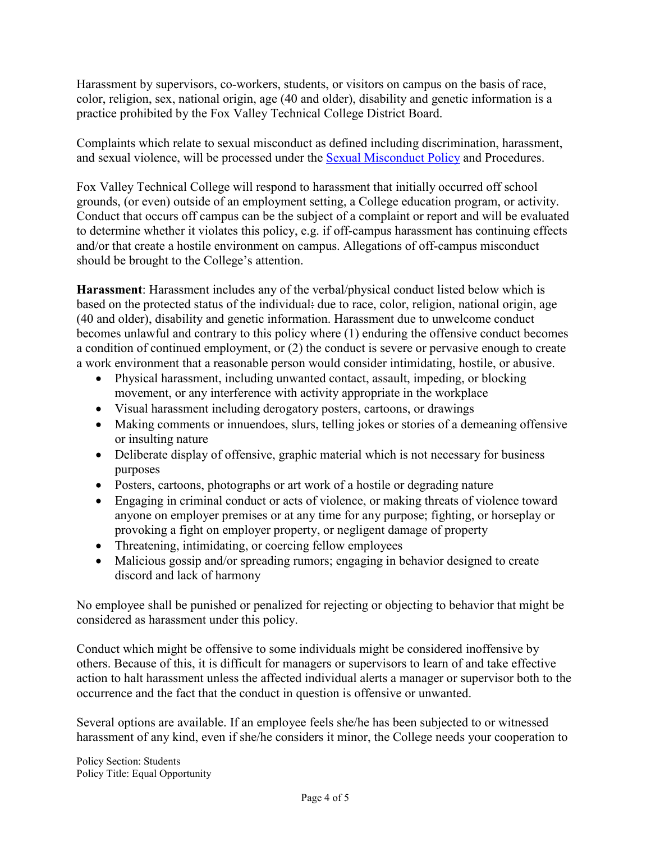Harassment by supervisors, co-workers, students, or visitors on campus on the basis of race, color, religion, sex, national origin, age (40 and older), disability and genetic information is a practice prohibited by the Fox Valley Technical College District Board.

Complaints which relate to sexual misconduct as defined including discrimination, harassment, and sexual violence, will be processed under the **Sexual Misconduct Policy** and Procedures.

Fox Valley Technical College will respond to harassment that initially occurred off school grounds, (or even) outside of an employment setting, a College education program, or activity. Conduct that occurs off campus can be the subject of a complaint or report and will be evaluated to determine whether it violates this policy, e.g. if off-campus harassment has continuing effects and/or that create a hostile environment on campus. Allegations of off-campus misconduct should be brought to the College's attention.

**Harassment**: Harassment includes any of the verbal/physical conduct listed below which is based on the protected status of the individual: due to race, color, religion, national origin, age (40 and older), disability and genetic information. Harassment due to unwelcome conduct becomes unlawful and contrary to this policy where (1) enduring the offensive conduct becomes a condition of continued employment, or (2) the conduct is severe or pervasive enough to create a work environment that a reasonable person would consider intimidating, hostile, or abusive.

- Physical harassment, including unwanted contact, assault, impeding, or blocking movement, or any interference with activity appropriate in the workplace
- Visual harassment including derogatory posters, cartoons, or drawings
- Making comments or innuendoes, slurs, telling jokes or stories of a demeaning offensive or insulting nature
- Deliberate display of offensive, graphic material which is not necessary for business purposes
- Posters, cartoons, photographs or art work of a hostile or degrading nature
- Engaging in criminal conduct or acts of violence, or making threats of violence toward anyone on employer premises or at any time for any purpose; fighting, or horseplay or provoking a fight on employer property, or negligent damage of property
- Threatening, intimidating, or coercing fellow employees
- Malicious gossip and/or spreading rumors; engaging in behavior designed to create discord and lack of harmony

No employee shall be punished or penalized for rejecting or objecting to behavior that might be considered as harassment under this policy.

Conduct which might be offensive to some individuals might be considered inoffensive by others. Because of this, it is difficult for managers or supervisors to learn of and take effective action to halt harassment unless the affected individual alerts a manager or supervisor both to the occurrence and the fact that the conduct in question is offensive or unwanted.

Several options are available. If an employee feels she/he has been subjected to or witnessed harassment of any kind, even if she/he considers it minor, the College needs your cooperation to